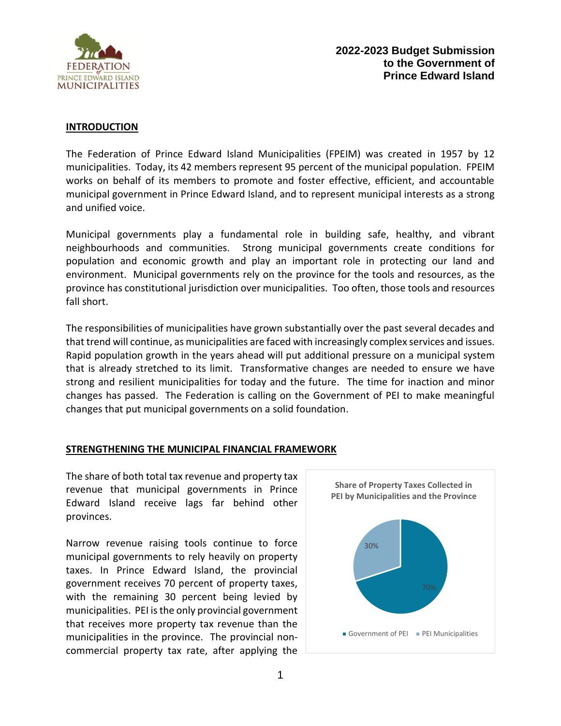

#### **INTRODUCTION**

The Federation of Prince Edward Island Municipalities (FPEIM) was created in 1957 by 12 municipalities. Today, its 42 members represent 95 percent of the municipal population. FPEIM works on behalf of its members to promote and foster effective, efficient, and accountable municipal government in Prince Edward Island, and to represent municipal interests as a strong and unified voice.

Municipal governments play a fundamental role in building safe, healthy, and vibrant neighbourhoods and communities. Strong municipal governments create conditions for population and economic growth and play an important role in protecting our land and environment. Municipal governments rely on the province for the tools and resources, as the province has constitutional jurisdiction over municipalities. Too often, those tools and resources fall short.

The responsibilities of municipalities have grown substantially over the past several decades and that trend will continue, as municipalities are faced with increasingly complex services and issues. Rapid population growth in the years ahead will put additional pressure on a municipal system that is already stretched to its limit. Transformative changes are needed to ensure we have strong and resilient municipalities for today and the future. The time for inaction and minor changes has passed. The Federation is calling on the Government of PEI to make meaningful changes that put municipal governments on a solid foundation.

### **STRENGTHENING THE MUNICIPAL FINANCIAL FRAMEWORK**

The share of both total tax revenue and property tax revenue that municipal governments in Prince Edward Island receive lags far behind other provinces.

Narrow revenue raising tools continue to force municipal governments to rely heavily on property taxes. In Prince Edward Island, the provincial government receives 70 percent of property taxes, with the remaining 30 percent being levied by municipalities. PEI is the only provincial government that receives more property tax revenue than the municipalities in the province. The provincial noncommercial property tax rate, after applying the

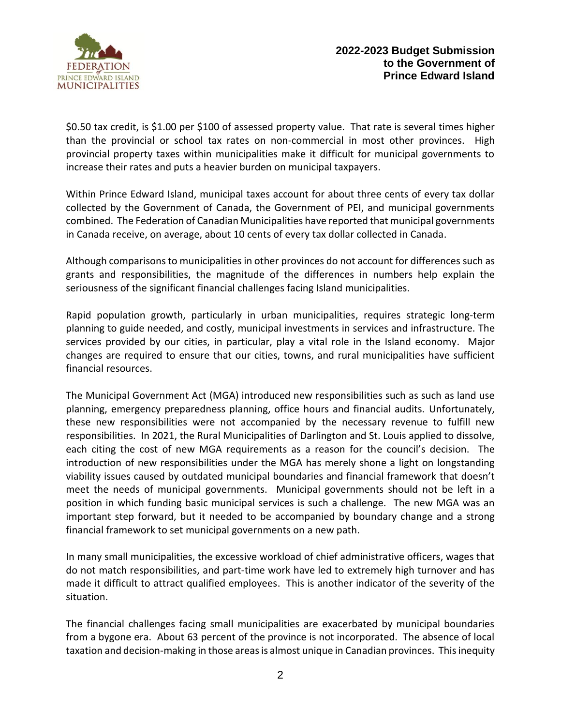

\$0.50 tax credit, is \$1.00 per \$100 of assessed property value. That rate is several times higher than the provincial or school tax rates on non-commercial in most other provinces. High provincial property taxes within municipalities make it difficult for municipal governments to increase their rates and puts a heavier burden on municipal taxpayers.

Within Prince Edward Island, municipal taxes account for about three cents of every tax dollar collected by the Government of Canada, the Government of PEI, and municipal governments combined. The Federation of Canadian Municipalities have reported that municipal governments in Canada receive, on average, about 10 cents of every tax dollar collected in Canada.

Although comparisons to municipalities in other provinces do not account for differences such as grants and responsibilities, the magnitude of the differences in numbers help explain the seriousness of the significant financial challenges facing Island municipalities.

Rapid population growth, particularly in urban municipalities, requires strategic long-term planning to guide needed, and costly, municipal investments in services and infrastructure. The services provided by our cities, in particular, play a vital role in the Island economy. Major changes are required to ensure that our cities, towns, and rural municipalities have sufficient financial resources.

The Municipal Government Act (MGA) introduced new responsibilities such as such as land use planning, emergency preparedness planning, office hours and financial audits. Unfortunately, these new responsibilities were not accompanied by the necessary revenue to fulfill new responsibilities. In 2021, the Rural Municipalities of Darlington and St. Louis applied to dissolve, each citing the cost of new MGA requirements as a reason for the council's decision. The introduction of new responsibilities under the MGA has merely shone a light on longstanding viability issues caused by outdated municipal boundaries and financial framework that doesn't meet the needs of municipal governments. Municipal governments should not be left in a position in which funding basic municipal services is such a challenge. The new MGA was an important step forward, but it needed to be accompanied by boundary change and a strong financial framework to set municipal governments on a new path.

In many small municipalities, the excessive workload of chief administrative officers, wages that do not match responsibilities, and part-time work have led to extremely high turnover and has made it difficult to attract qualified employees. This is another indicator of the severity of the situation.

The financial challenges facing small municipalities are exacerbated by municipal boundaries from a bygone era. About 63 percent of the province is not incorporated. The absence of local taxation and decision-making in those areas is almost unique in Canadian provinces. This inequity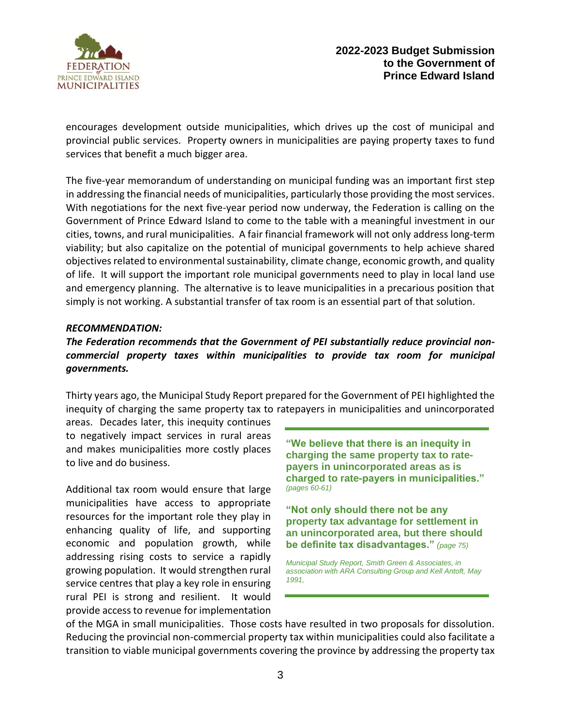

encourages development outside municipalities, which drives up the cost of municipal and provincial public services. Property owners in municipalities are paying property taxes to fund services that benefit a much bigger area.

The five-year memorandum of understanding on municipal funding was an important first step in addressing the financial needs of municipalities, particularly those providing the most services. With negotiations for the next five-year period now underway, the Federation is calling on the Government of Prince Edward Island to come to the table with a meaningful investment in our cities, towns, and rural municipalities. A fair financial framework will not only address long-term viability; but also capitalize on the potential of municipal governments to help achieve shared objectives related to environmental sustainability, climate change, economic growth, and quality of life. It will support the important role municipal governments need to play in local land use and emergency planning. The alternative is to leave municipalities in a precarious position that simply is not working. A substantial transfer of tax room is an essential part of that solution.

#### *RECOMMENDATION:*

# *The Federation recommends that the Government of PEI substantially reduce provincial noncommercial property taxes within municipalities to provide tax room for municipal governments.*

Thirty years ago, the Municipal Study Report prepared for the Government of PEI highlighted the inequity of charging the same property tax to ratepayers in municipalities and unincorporated

areas. Decades later, this inequity continues to negatively impact services in rural areas and makes municipalities more costly places to live and do business.

Additional tax room would ensure that large municipalities have access to appropriate resources for the important role they play in enhancing quality of life, and supporting economic and population growth, while addressing rising costs to service a rapidly growing population. It would strengthen rural service centres that play a key role in ensuring rural PEI is strong and resilient. It would provide access to revenue for implementation

**"We believe that there is an inequity in charging the same property tax to ratepayers in unincorporated areas as is charged to rate-payers in municipalities."** *(pages 60-61)* 

**"Not only should there not be any property tax advantage for settlement in an unincorporated area, but there should be definite tax disadvantages."** *(page 75)*

*Municipal Study Report, Smith Green & Associates, in association with ARA Consulting Group and Kell Antoft, May 1991,*

of the MGA in small municipalities. Those costs have resulted in two proposals for dissolution. Reducing the provincial non-commercial property tax within municipalities could also facilitate a transition to viable municipal governments covering the province by addressing the property tax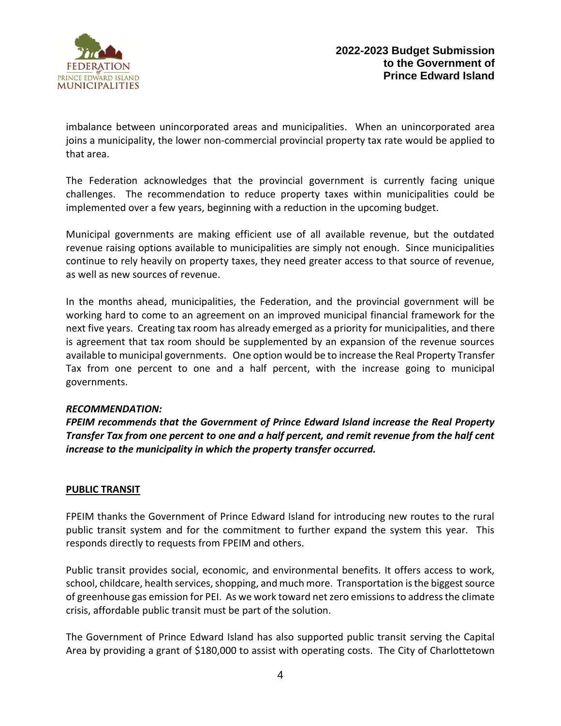

imbalance between unincorporated areas and municipalities. When an unincorporated area joins a municipality, the lower non-commercial provincial property tax rate would be applied to that area.

The Federation acknowledges that the provincial government is currently facing unique challenges. The recommendation to reduce property taxes within municipalities could be implemented over a few years, beginning with a reduction in the upcoming budget.

Municipal governments are making efficient use of all available revenue, but the outdated revenue raising options available to municipalities are simply not enough. Since municipalities continue to rely heavily on property taxes, they need greater access to that source of revenue, as well as new sources of revenue.

In the months ahead, municipalities, the Federation, and the provincial government will be working hard to come to an agreement on an improved municipal financial framework for the next five years. Creating tax room has already emerged as a priority for municipalities, and there is agreement that tax room should be supplemented by an expansion of the revenue sources available to municipal governments. One option would be to increase the Real Property Transfer Tax from one percent to one and a half percent, with the increase going to municipal governments.

### *RECOMMENDATION:*

*FPEIM recommends that the Government of Prince Edward Island increase the Real Property Transfer Tax from one percent to one and a half percent, and remit revenue from the half cent increase to the municipality in which the property transfer occurred.*

# **PUBLIC TRANSIT**

FPEIM thanks the Government of Prince Edward Island for introducing new routes to the rural public transit system and for the commitment to further expand the system this year. This responds directly to requests from FPEIM and others.

Public transit provides social, economic, and environmental benefits. It offers access to work, school, childcare, health services, shopping, and much more. Transportation is the biggest source of greenhouse gas emission for PEI. As we work toward net zero emissions to address the climate crisis, affordable public transit must be part of the solution.

The Government of Prince Edward Island has also supported public transit serving the Capital Area by providing a grant of \$180,000 to assist with operating costs. The City of Charlottetown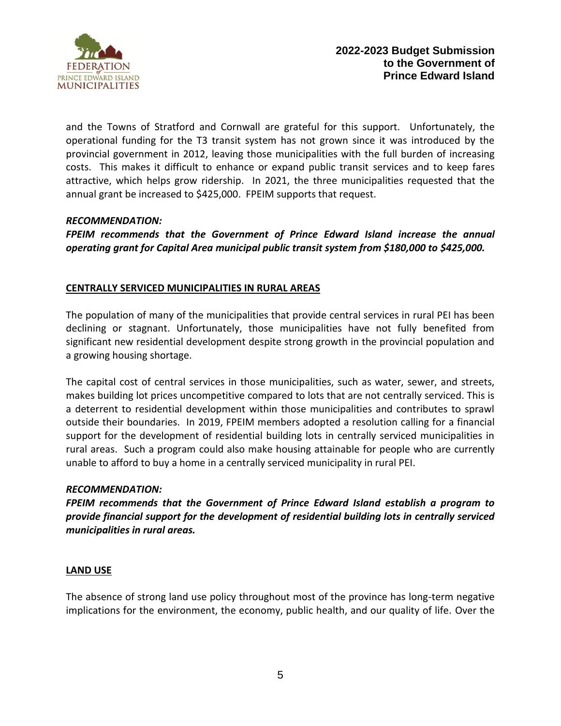

and the Towns of Stratford and Cornwall are grateful for this support. Unfortunately, the operational funding for the T3 transit system has not grown since it was introduced by the provincial government in 2012, leaving those municipalities with the full burden of increasing costs. This makes it difficult to enhance or expand public transit services and to keep fares attractive, which helps grow ridership. In 2021, the three municipalities requested that the annual grant be increased to \$425,000. FPEIM supports that request.

### *RECOMMENDATION:*

*FPEIM recommends that the Government of Prince Edward Island increase the annual operating grant for Capital Area municipal public transit system from \$180,000 to \$425,000.*

# **CENTRALLY SERVICED MUNICIPALITIES IN RURAL AREAS**

The population of many of the municipalities that provide central services in rural PEI has been declining or stagnant. Unfortunately, those municipalities have not fully benefited from significant new residential development despite strong growth in the provincial population and a growing housing shortage.

The capital cost of central services in those municipalities, such as water, sewer, and streets, makes building lot prices uncompetitive compared to lots that are not centrally serviced. This is a deterrent to residential development within those municipalities and contributes to sprawl outside their boundaries. In 2019, FPEIM members adopted a resolution calling for a financial support for the development of residential building lots in centrally serviced municipalities in rural areas. Such a program could also make housing attainable for people who are currently unable to afford to buy a home in a centrally serviced municipality in rural PEI.

### *RECOMMENDATION:*

*FPEIM recommends that the Government of Prince Edward Island establish a program to provide financial support for the development of residential building lots in centrally serviced municipalities in rural areas.*

# **LAND USE**

The absence of strong land use policy throughout most of the province has long-term negative implications for the environment, the economy, public health, and our quality of life. Over the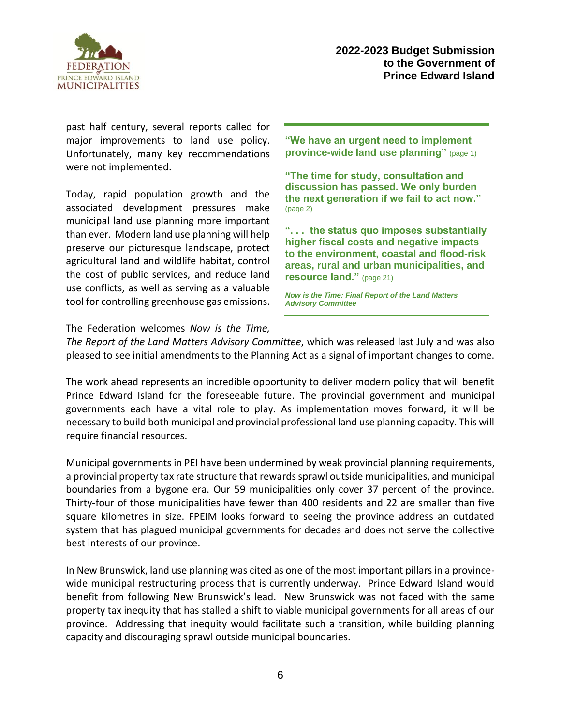

past half century, several reports called for major improvements to land use policy. Unfortunately, many key recommendations were not implemented.

Today, rapid population growth and the associated development pressures make municipal land use planning more important than ever. Modern land use planning will help preserve our picturesque landscape, protect agricultural land and wildlife habitat, control the cost of public services, and reduce land use conflicts, as well as serving as a valuable tool for controlling greenhouse gas emissions.

**"We have an urgent need to implement province-wide land use planning"** (page 1)

**"The time for study, consultation and discussion has passed. We only burden the next generation if we fail to act now."**  (page 2)

**". . . the status quo imposes substantially higher fiscal costs and negative impacts to the environment, coastal and flood-risk areas, rural and urban municipalities, and resource land."** (page 21)

*Now is the Time: Final Report of the Land Matters Advisory Committee*

The Federation welcomes *Now is the Time,* 

*The Report of the Land Matters Advisory Committee*, which was released last July and was also pleased to see initial amendments to the Planning Act as a signal of important changes to come.

The work ahead represents an incredible opportunity to deliver modern policy that will benefit Prince Edward Island for the foreseeable future. The provincial government and municipal governments each have a vital role to play. As implementation moves forward, it will be necessary to build both municipal and provincial professional land use planning capacity. This will require financial resources.

Municipal governments in PEI have been undermined by weak provincial planning requirements, a provincial property tax rate structure that rewards sprawl outside municipalities, and municipal boundaries from a bygone era. Our 59 municipalities only cover 37 percent of the province. Thirty-four of those municipalities have fewer than 400 residents and 22 are smaller than five square kilometres in size. FPEIM looks forward to seeing the province address an outdated system that has plagued municipal governments for decades and does not serve the collective best interests of our province.

In New Brunswick, land use planning was cited as one of the most important pillars in a provincewide municipal restructuring process that is currently underway. Prince Edward Island would benefit from following New Brunswick's lead. New Brunswick was not faced with the same property tax inequity that has stalled a shift to viable municipal governments for all areas of our province. Addressing that inequity would facilitate such a transition, while building planning capacity and discouraging sprawl outside municipal boundaries.